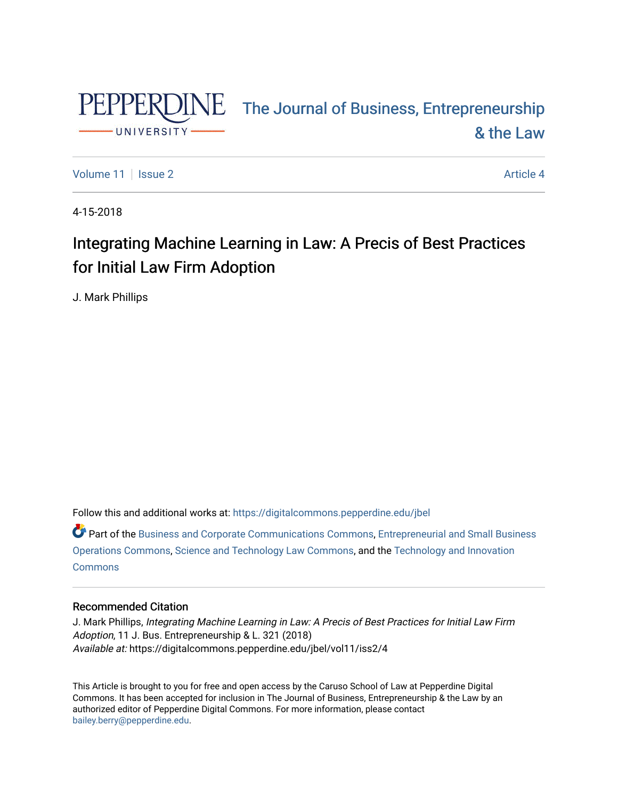

# PEPPERDINE The Journal of Business, Entrepreneurship [& the Law](https://digitalcommons.pepperdine.edu/jbel)

[Volume 11](https://digitalcommons.pepperdine.edu/jbel/vol11) | [Issue 2](https://digitalcommons.pepperdine.edu/jbel/vol11/iss2) Article 4

4-15-2018

## Integrating Machine Learning in Law: A Precis of Best Practices for Initial Law Firm Adoption

J. Mark Phillips

Follow this and additional works at: [https://digitalcommons.pepperdine.edu/jbel](https://digitalcommons.pepperdine.edu/jbel?utm_source=digitalcommons.pepperdine.edu%2Fjbel%2Fvol11%2Fiss2%2F4&utm_medium=PDF&utm_campaign=PDFCoverPages) 

Part of the [Business and Corporate Communications Commons](http://network.bepress.com/hgg/discipline/627?utm_source=digitalcommons.pepperdine.edu%2Fjbel%2Fvol11%2Fiss2%2F4&utm_medium=PDF&utm_campaign=PDFCoverPages), [Entrepreneurial and Small Business](http://network.bepress.com/hgg/discipline/630?utm_source=digitalcommons.pepperdine.edu%2Fjbel%2Fvol11%2Fiss2%2F4&utm_medium=PDF&utm_campaign=PDFCoverPages)  [Operations Commons](http://network.bepress.com/hgg/discipline/630?utm_source=digitalcommons.pepperdine.edu%2Fjbel%2Fvol11%2Fiss2%2F4&utm_medium=PDF&utm_campaign=PDFCoverPages), [Science and Technology Law Commons,](http://network.bepress.com/hgg/discipline/875?utm_source=digitalcommons.pepperdine.edu%2Fjbel%2Fvol11%2Fiss2%2F4&utm_medium=PDF&utm_campaign=PDFCoverPages) and the [Technology and Innovation](http://network.bepress.com/hgg/discipline/644?utm_source=digitalcommons.pepperdine.edu%2Fjbel%2Fvol11%2Fiss2%2F4&utm_medium=PDF&utm_campaign=PDFCoverPages)  **[Commons](http://network.bepress.com/hgg/discipline/644?utm_source=digitalcommons.pepperdine.edu%2Fjbel%2Fvol11%2Fiss2%2F4&utm_medium=PDF&utm_campaign=PDFCoverPages)** 

#### Recommended Citation

J. Mark Phillips, Integrating Machine Learning in Law: A Precis of Best Practices for Initial Law Firm Adoption, 11 J. Bus. Entrepreneurship & L. 321 (2018) Available at: https://digitalcommons.pepperdine.edu/jbel/vol11/iss2/4

This Article is brought to you for free and open access by the Caruso School of Law at Pepperdine Digital Commons. It has been accepted for inclusion in The Journal of Business, Entrepreneurship & the Law by an authorized editor of Pepperdine Digital Commons. For more information, please contact [bailey.berry@pepperdine.edu](mailto:bailey.berry@pepperdine.edu).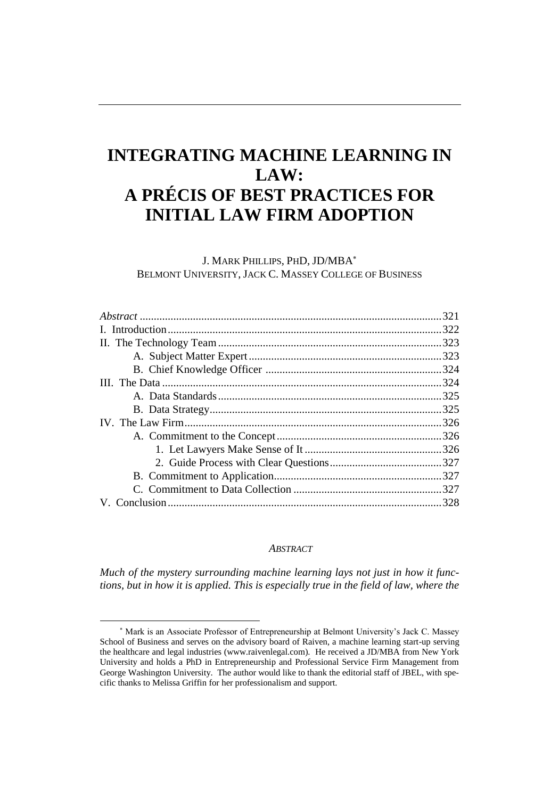### **INTEGRATING MACHINE LEARNING IN LAW: A PRÉCIS OF BEST PRACTICES FOR INITIAL LAW FIRM ADOPTION**

J. MARK PHILLIPS, PHD, JD/MBA BELMONT UNIVERSITY, JACK C. MASSEY COLLEGE OF BUSINESS

#### *ABSTRACT*

*Much of the mystery surrounding machine learning lays not just in how it functions, but in how it is applied. This is especially true in the field of law, where the*

Mark is an Associate Professor of Entrepreneurship at Belmont University's Jack C. Massey School of Business and serves on the advisory board of Raiven, a machine learning start-up serving the healthcare and legal industries (www.raivenlegal.com). He received a JD/MBA from New York University and holds a PhD in Entrepreneurship and Professional Service Firm Management from George Washington University. The author would like to thank the editorial staff of JBEL, with specific thanks to Melissa Griffin for her professionalism and support.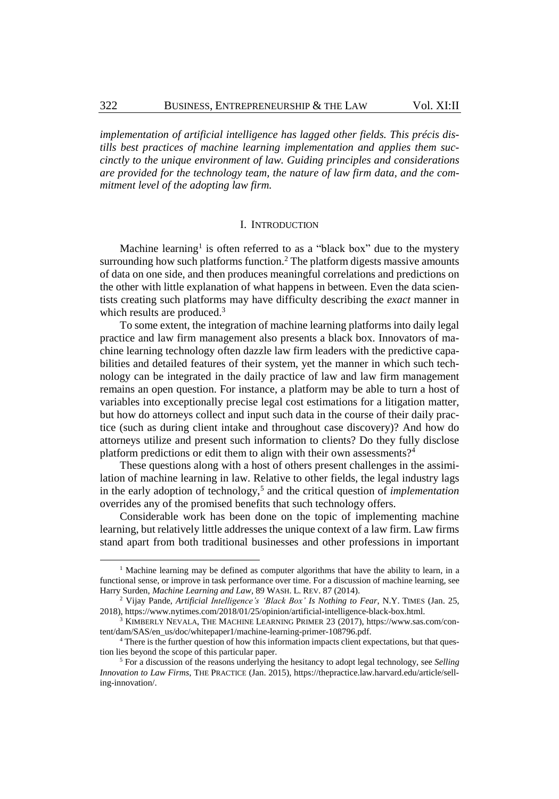*implementation of artificial intelligence has lagged other fields. This précis distills best practices of machine learning implementation and applies them succinctly to the unique environment of law. Guiding principles and considerations are provided for the technology team, the nature of law firm data, and the commitment level of the adopting law firm.*

#### I. INTRODUCTION

Machine learning<sup>1</sup> is often referred to as a "black box" due to the mystery surrounding how such platforms function.<sup>2</sup> The platform digests massive amounts of data on one side, and then produces meaningful correlations and predictions on the other with little explanation of what happens in between. Even the data scientists creating such platforms may have difficulty describing the *exact* manner in which results are produced.<sup>3</sup>

To some extent, the integration of machine learning platforms into daily legal practice and law firm management also presents a black box. Innovators of machine learning technology often dazzle law firm leaders with the predictive capabilities and detailed features of their system, yet the manner in which such technology can be integrated in the daily practice of law and law firm management remains an open question. For instance, a platform may be able to turn a host of variables into exceptionally precise legal cost estimations for a litigation matter, but how do attorneys collect and input such data in the course of their daily practice (such as during client intake and throughout case discovery)? And how do attorneys utilize and present such information to clients? Do they fully disclose platform predictions or edit them to align with their own assessments?<sup>4</sup>

These questions along with a host of others present challenges in the assimilation of machine learning in law. Relative to other fields, the legal industry lags in the early adoption of technology,<sup>5</sup> and the critical question of *implementation* overrides any of the promised benefits that such technology offers.

Considerable work has been done on the topic of implementing machine learning, but relatively little addresses the unique context of a law firm. Law firms stand apart from both traditional businesses and other professions in important

<sup>&</sup>lt;sup>1</sup> Machine learning may be defined as computer algorithms that have the ability to learn, in a functional sense, or improve in task performance over time. For a discussion of machine learning, see Harry Surden, *Machine Learning and Law*, 89 WASH. L. REV. 87 (2014).

<sup>2</sup> Vijay Pande, *Artificial Intelligence's 'Black Box' Is Nothing to Fear*, N.Y. TIMES (Jan. 25, 2018), https://www.nytimes.com/2018/01/25/opinion/artificial-intelligence-black-box.html.

<sup>&</sup>lt;sup>3</sup> KIMBERLY NEVALA, THE MACHINE LEARNING PRIMER 23 (2017), [https://www.sas.com/con](https://www.sas.com/content/dam/SAS/en_us/doc/whitepaper1/machine-learning-primer-108796.pdf)[tent/dam/SAS/en\\_us/doc/whitepaper1/machine-learning-primer-108796.pdf.](https://www.sas.com/content/dam/SAS/en_us/doc/whitepaper1/machine-learning-primer-108796.pdf)

<sup>4</sup> There is the further question of how this information impacts client expectations, but that question lies beyond the scope of this particular paper.

<sup>5</sup> For a discussion of the reasons underlying the hesitancy to adopt legal technology, see *Selling Innovation to Law Firms*, THE PRACTICE (Jan. 2015), https://thepractice.law.harvard.edu/article/selling-innovation/.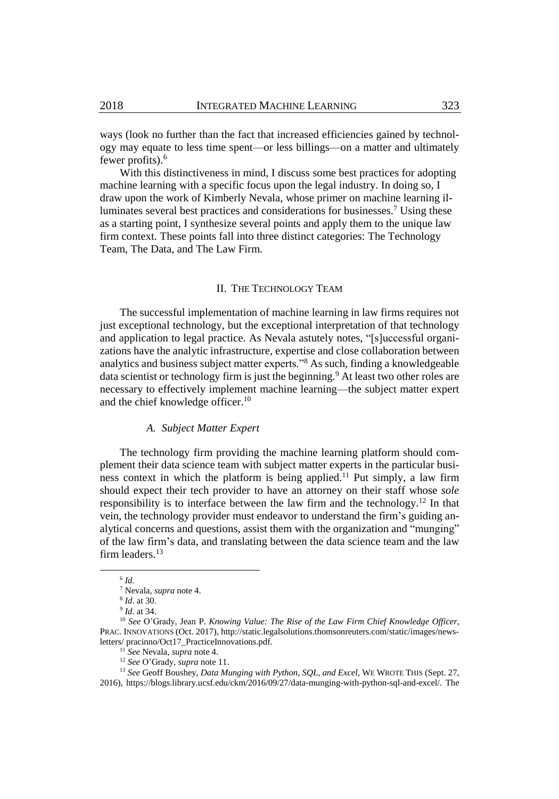ways (look no further than the fact that increased efficiencies gained by technology may equate to less time spent—or less billings—on a matter and ultimately fewer profits).<sup>6</sup>

With this distinctiveness in mind, I discuss some best practices for adopting machine learning with a specific focus upon the legal industry. In doing so, I draw upon the work of Kimberly Nevala, whose primer on machine learning illuminates several best practices and considerations for businesses.<sup>7</sup> Using these as a starting point, I synthesize several points and apply them to the unique law firm context. These points fall into three distinct categories: The Technology Team, The Data, and The Law Firm.

#### II. THE TECHNOLOGY TEAM

The successful implementation of machine learning in law firms requires not just exceptional technology, but the exceptional interpretation of that technology and application to legal practice. As Nevala astutely notes, "[s]uccessful organizations have the analytic infrastructure, expertise and close collaboration between analytics and business subject matter experts."<sup>8</sup> As such, finding a knowledgeable data scientist or technology firm is just the beginning.<sup>9</sup> At least two other roles are necessary to effectively implement machine learning—the subject matter expert and the chief knowledge officer.<sup>10</sup>

#### *A. Subject Matter Expert*

The technology firm providing the machine learning platform should complement their data science team with subject matter experts in the particular business context in which the platform is being applied.<sup>11</sup> Put simply, a law firm should expect their tech provider to have an attorney on their staff whose *sole* responsibility is to interface between the law firm and the technology.<sup>12</sup> In that vein, the technology provider must endeavor to understand the firm's guiding analytical concerns and questions, assist them with the organization and "munging" of the law firm's data, and translating between the data science team and the law firm leaders.<sup>13</sup>

l

<sup>6</sup> *Id.*

<sup>7</sup> Nevala, *supra* note 4.

<sup>8</sup> *Id*. at 30.

<sup>9</sup> *Id.* at 34.

<sup>10</sup> *See* O'Grady, Jean P. *Knowing Value: The Rise of the Law Firm Chief Knowledge Officer*, PRAC. INNOVATIONS (Oct. 2017), http://static.legalsolutions.thomsonreuters.com/static/images/newsletters/ pracinno/Oct17\_PracticeInnovations.pdf.

<sup>11</sup> *See* Nevala, *supra* note 4.

<sup>12</sup> *See* O'Grady, *supra* note 11.

<sup>13</sup> *See* Geoff Boushey, *Data Munging with Python, SQL, and Excel*, WE WROTE THIS (Sept. 27, 2016), https://blogs.library.ucsf.edu/ckm/2016/09/27/data-munging-with-python-sql-and-excel/. The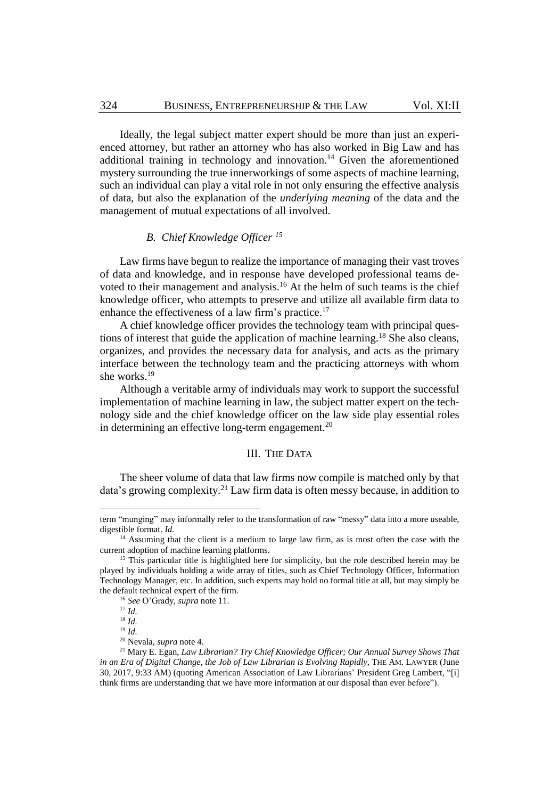Ideally, the legal subject matter expert should be more than just an experienced attorney, but rather an attorney who has also worked in Big Law and has additional training in technology and innovation.<sup>14</sup> Given the aforementioned mystery surrounding the true innerworkings of some aspects of machine learning, such an individual can play a vital role in not only ensuring the effective analysis of data, but also the explanation of the *underlying meaning* of the data and the management of mutual expectations of all involved.

#### *B. Chief Knowledge Officer <sup>15</sup>*

Law firms have begun to realize the importance of managing their vast troves of data and knowledge, and in response have developed professional teams devoted to their management and analysis.<sup>16</sup> At the helm of such teams is the chief knowledge officer, who attempts to preserve and utilize all available firm data to enhance the effectiveness of a law firm's practice.<sup>17</sup>

A chief knowledge officer provides the technology team with principal questions of interest that guide the application of machine learning.<sup>18</sup> She also cleans, organizes, and provides the necessary data for analysis, and acts as the primary interface between the technology team and the practicing attorneys with whom she works.<sup>19</sup>

Although a veritable army of individuals may work to support the successful implementation of machine learning in law, the subject matter expert on the technology side and the chief knowledge officer on the law side play essential roles in determining an effective long-term engagement.<sup>20</sup>

#### III. THE DATA

The sheer volume of data that law firms now compile is matched only by that data's growing complexity.<sup>21</sup> Law firm data is often messy because, in addition to

term "munging" may informally refer to the transformation of raw "messy" data into a more useable, digestible format. *Id.*

<sup>&</sup>lt;sup>14</sup> Assuming that the client is a medium to large law firm, as is most often the case with the current adoption of machine learning platforms.

<sup>&</sup>lt;sup>15</sup> This particular title is highlighted here for simplicity, but the role described herein may be played by individuals holding a wide array of titles, such as Chief Technology Officer, Information Technology Manager, etc. In addition, such experts may hold no formal title at all, but may simply be the default technical expert of the firm.

<sup>16</sup> *See* O'Grady, *supra* note 11.

<sup>17</sup> *Id.*

 $18$  *Id.* 

<sup>19</sup> *Id.*

<sup>20</sup> Nevala, *supra* note 4.

<sup>21</sup> Mary E. Egan, *Law Librarian? Try Chief Knowledge Officer; Our Annual Survey Shows That in an Era of Digital Change, the Job of Law Librarian is Evolving Rapidly*, THE AM. LAWYER (June 30, 2017, 9:33 AM) (quoting American Association of Law Librarians' President Greg Lambert, "[i] think firms are understanding that we have more information at our disposal than ever before").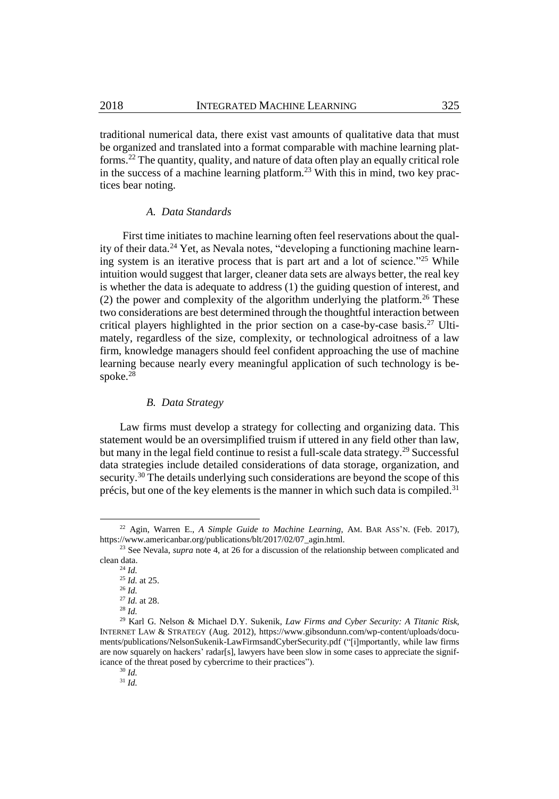traditional numerical data, there exist vast amounts of qualitative data that must be organized and translated into a format comparable with machine learning platforms.<sup>22</sup> The quantity, quality, and nature of data often play an equally critical role in the success of a machine learning platform.<sup>23</sup> With this in mind, two key practices bear noting.

#### *A. Data Standards*

First time initiates to machine learning often feel reservations about the quality of their data.<sup>24</sup> Yet, as Nevala notes, "developing a functioning machine learning system is an iterative process that is part art and a lot of science."<sup>25</sup> While intuition would suggest that larger, cleaner data sets are always better, the real key is whether the data is adequate to address (1) the guiding question of interest, and (2) the power and complexity of the algorithm underlying the platform.<sup>26</sup> These two considerations are best determined through the thoughtful interaction between critical players highlighted in the prior section on a case-by-case basis.<sup>27</sup> Ultimately, regardless of the size, complexity, or technological adroitness of a law firm, knowledge managers should feel confident approaching the use of machine learning because nearly every meaningful application of such technology is bespoke.<sup>28</sup>

#### *B. Data Strategy*

Law firms must develop a strategy for collecting and organizing data. This statement would be an oversimplified truism if uttered in any field other than law, but many in the legal field continue to resist a full-scale data strategy.<sup>29</sup> Successful data strategies include detailed considerations of data storage, organization, and security.<sup>30</sup> The details underlying such considerations are beyond the scope of this précis, but one of the key elements is the manner in which such data is compiled. $31$ 

<sup>22</sup> Agin, Warren E., *A Simple Guide to Machine Learning*, AM. BAR ASS'N. (Feb. 2017), https://www.americanbar.org/publications/blt/2017/02/07\_agin.html.

<sup>&</sup>lt;sup>23</sup> See Nevala, *supra* note 4, at 26 for a discussion of the relationship between complicated and clean data.

<sup>24</sup> *Id.*

<sup>25</sup> *Id.* at 25.

<sup>26</sup> *Id.* 

<sup>27</sup> *Id.* at 28. <sup>28</sup> *Id.*

<sup>29</sup> Karl G. Nelson & Michael D.Y. Sukenik, *Law Firms and Cyber Security: A Titanic Risk*, INTERNET LAW & STRATEGY (Aug. 2012), https://www.gibsondunn.com/wp-content/uploads/documents/publications/NelsonSukenik-LawFirmsandCyberSecurity.pdf ("[i]mportantly, while law firms are now squarely on hackers' radar[s], lawyers have been slow in some cases to appreciate the significance of the threat posed by cybercrime to their practices").

<sup>30</sup> *Id.*

<sup>31</sup> *Id.*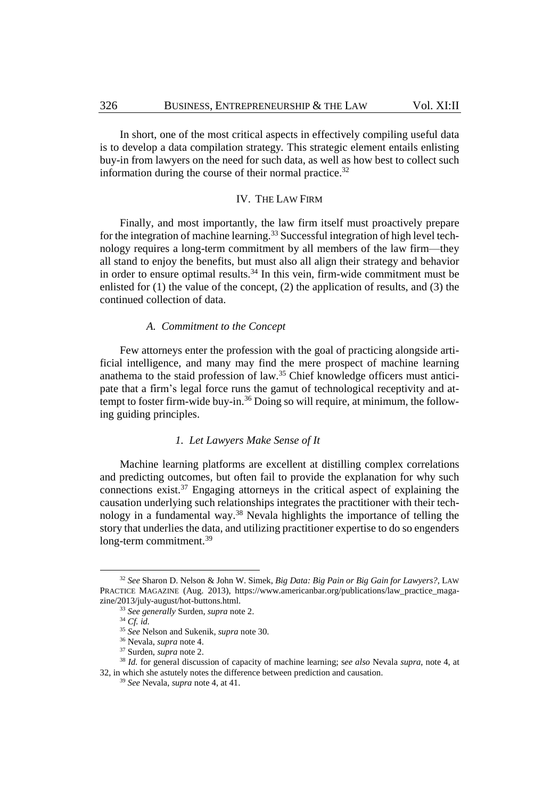In short, one of the most critical aspects in effectively compiling useful data is to develop a data compilation strategy*.* This strategic element entails enlisting buy-in from lawyers on the need for such data, as well as how best to collect such information during the course of their normal practice.<sup>32</sup>

#### IV. THE LAW FIRM

Finally, and most importantly, the law firm itself must proactively prepare for the integration of machine learning.<sup>33</sup> Successful integration of high level technology requires a long-term commitment by all members of the law firm—they all stand to enjoy the benefits, but must also all align their strategy and behavior in order to ensure optimal results. <sup>34</sup> In this vein, firm-wide commitment must be enlisted for (1) the value of the concept, (2) the application of results, and (3) the continued collection of data.

#### *A. Commitment to the Concept*

Few attorneys enter the profession with the goal of practicing alongside artificial intelligence, and many may find the mere prospect of machine learning anathema to the staid profession of law.<sup>35</sup> Chief knowledge officers must anticipate that a firm's legal force runs the gamut of technological receptivity and attempt to foster firm-wide buy-in.<sup>36</sup> Doing so will require, at minimum, the following guiding principles.

#### *1. Let Lawyers Make Sense of It*

Machine learning platforms are excellent at distilling complex correlations and predicting outcomes, but often fail to provide the explanation for why such connections exist.<sup>37</sup> Engaging attorneys in the critical aspect of explaining the causation underlying such relationships integrates the practitioner with their technology in a fundamental way.<sup>38</sup> Nevala highlights the importance of telling the story that underlies the data, and utilizing practitioner expertise to do so engenders long-term commitment.<sup>39</sup>

l

<sup>32</sup> *See* Sharon D. Nelson & John W. Simek, *Big Data: Big Pain or Big Gain for Lawyers?*, LAW PRACTICE MAGAZINE (Aug. 2013), https://www.americanbar.org/publications/law\_practice\_magazine/2013/july-august/hot-buttons.html.

<sup>33</sup> *See generally* Surden, *supra* note 2.

<sup>34</sup> *Cf. id.*

<sup>35</sup> *See* Nelson and Sukenik, *supra* note 30.

<sup>36</sup> Nevala, *supra* note 4.

<sup>37</sup> Surden, *supra* note 2.

<sup>38</sup> *Id.* for general discussion of capacity of machine learning; s*ee also* Nevala *supra*, note 4, at 32, in which she astutely notes the difference between prediction and causation.

<sup>39</sup> *See* Nevala, *supra* note 4, at 41.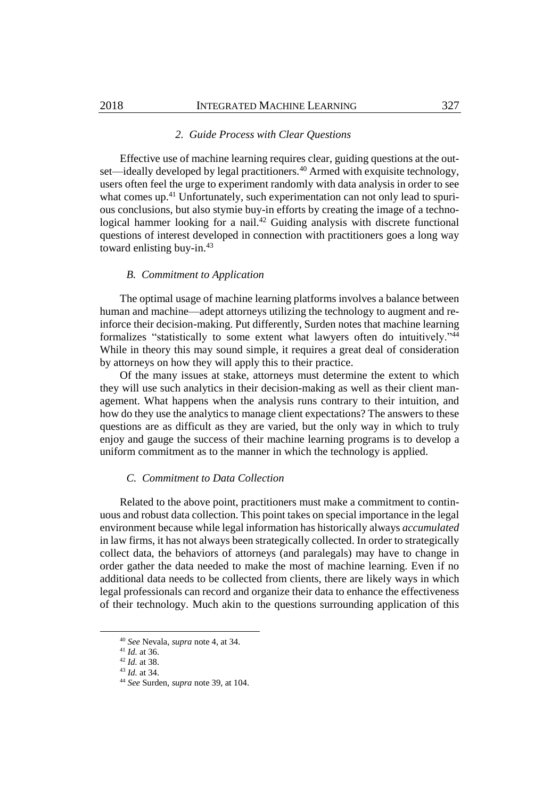#### *2. Guide Process with Clear Questions*

Effective use of machine learning requires clear, guiding questions at the outset—ideally developed by legal practitioners.<sup>40</sup> Armed with exquisite technology, users often feel the urge to experiment randomly with data analysis in order to see what comes up.<sup>41</sup> Unfortunately, such experimentation can not only lead to spurious conclusions, but also stymie buy-in efforts by creating the image of a technological hammer looking for a nail.<sup>42</sup> Guiding analysis with discrete functional questions of interest developed in connection with practitioners goes a long way toward enlisting buy-in.<sup>43</sup>

#### *B. Commitment to Application*

The optimal usage of machine learning platforms involves a balance between human and machine—adept attorneys utilizing the technology to augment and reinforce their decision-making. Put differently, Surden notes that machine learning formalizes "statistically to some extent what lawyers often do intuitively."<sup>44</sup> While in theory this may sound simple, it requires a great deal of consideration by attorneys on how they will apply this to their practice.

Of the many issues at stake, attorneys must determine the extent to which they will use such analytics in their decision-making as well as their client management. What happens when the analysis runs contrary to their intuition, and how do they use the analytics to manage client expectations? The answers to these questions are as difficult as they are varied, but the only way in which to truly enjoy and gauge the success of their machine learning programs is to develop a uniform commitment as to the manner in which the technology is applied.

#### *C. Commitment to Data Collection*

Related to the above point, practitioners must make a commitment to continuous and robust data collection. This point takes on special importance in the legal environment because while legal information has historically always *accumulated* in law firms, it has not always been strategically collected. In order to strategically collect data, the behaviors of attorneys (and paralegals) may have to change in order gather the data needed to make the most of machine learning. Even if no additional data needs to be collected from clients, there are likely ways in which legal professionals can record and organize their data to enhance the effectiveness of their technology. Much akin to the questions surrounding application of this

l

<sup>40</sup> *See* Nevala, *supra* note 4, at 34.

<sup>41</sup> *Id.* at 36.

<sup>42</sup> *Id.* at 38.

<sup>43</sup> *Id.* at 34.

<sup>44</sup> *See* Surden, *supra* note 39, at 104.